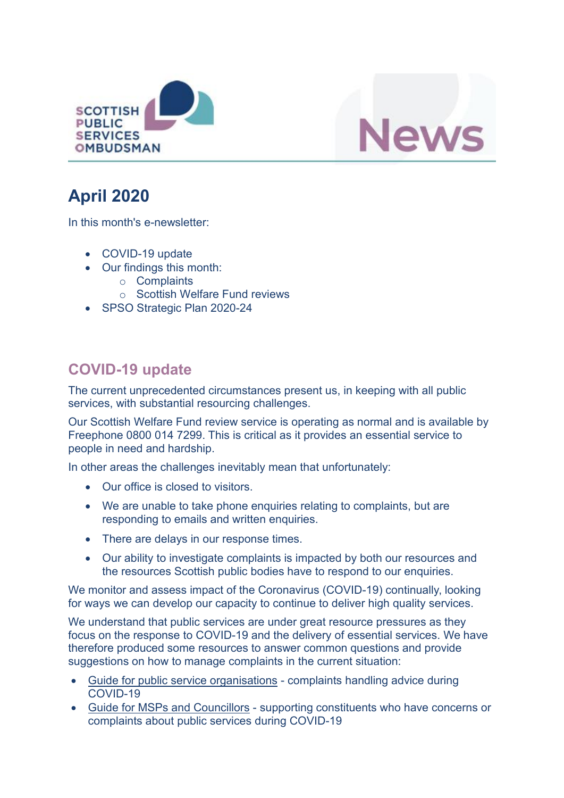



# **April 2020**

In this month's e-newsletter:

- COVID-19 update
- Our findings this month:
	- o Complaints
	- o Scottish Welfare Fund reviews
- SPSO Strategic Plan 2020-24

# **COVID-19 update**

The current unprecedented circumstances present us, in keeping with all public services, with substantial resourcing challenges.<br>Our Scottish Welfare Fund review service is operating as normal and is available by

Freephone 0800 014 7299. This is critical as it provides an essential service to people in need and hardship.

In other areas the challenges inevitably mean that unfortunately:

- Our office is closed to visitors.
- We are unable to take phone enquiries relating to complaints, but are responding to emails and written enquiries.
- There are delays in our response times.
- Our ability to investigate complaints is impacted by both our resources and the resources Scottish public bodies have to respond to our enquiries.

We monitor and assess impact of the Coronavirus (COVID-19) continually, looking for ways we can develop our capacity to continue to deliver high quality services.

We understand that public services are under great resource pressures as they focus on the response to COVID-19 and the delivery of essential services. We have therefore produced some resources to answer common questions and provide suggestions on how to manage complaints in the current situation:

- Guide for public service [organisations](https://www.spso.org.uk/sites/spso/files/csa/COVID19%20complaint%20handling%20guidance%20for%20organisations.pdf) complaints handling advice during COVID-19
- Guide for MSPs and [Councillors](https://www.spso.org.uk/sites/spso/files/csa/200403%20COVID19%20guide%20for%20MSPs%20and%20councillors.pdf) supporting constituents who have concerns or complaints about public services during COVID-19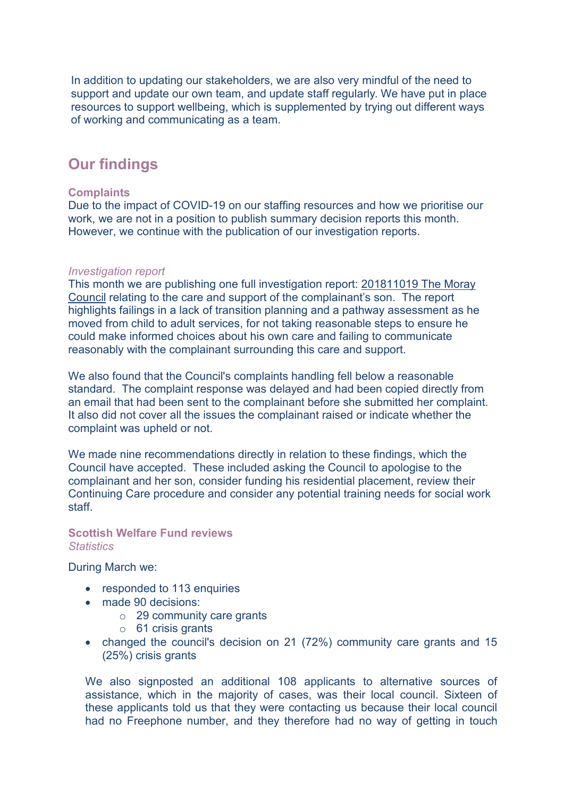In addition to updating our stakeholders, we are also very mindful of the need to support and update our own team, and update staff regularly. We have put in place resources to support wellbeing, which is supplemented by trying out different ways of working and communicating as a team.

## **Our findings**

#### **Complaints**

Due to the impact of COVID-19 on our staffing resources and how we prioritise our work, we are not in a position to publish summary decision reports this month. However, we continue with the publication of our investigation reports.

#### *Investigation report*

This month we are publishing one full investigation report: [201811019](https://www.spso.org.uk/investigation-reports/2020/april/the-moray-council) The Moray Council relating to the care and support of the complainant's son. The report highlights failings in a lack of transition planning and a pathway assessment as he moved from child to adult services, for not taking reasonable steps to ensure he could make informed choices about his own care and failing to communicate reasonably with the complainant surrounding this care and support.

We also found that the Council's complaints handling fell below a reasonable standard. The complaint response was delayed and had been copied directly from an email that had been sent to the complainant before she submitted her complaint. It also did not cover all the issues the complainant raised or indicate whether the complaint was upheld or not.

We made nine recommendations directly in relation to these findings, which the Council have accepted. These included asking the Council to apologise to the complainant and her son, consider funding his residential placement, review their Continuing Care procedure and consider any potential training needs for social work staff.

#### **Scottish Welfare Fund reviews** *Statistics*

During March we:

- responded to 113 enquiries
- made 90 decisions:
	- o 29 community care grants
	- $\circ$  61 crisis grants
- changed the council's decision on 21 (72%) community care grants and 15 (25%) crisis grants

We also signposted an additional 108 applicants to alternative sources of assistance, which in the majority of cases, was their local council. Sixteen of these applicants told us that they were contacting us because their local council had no Freephone number, and they therefore had no way of getting in touch